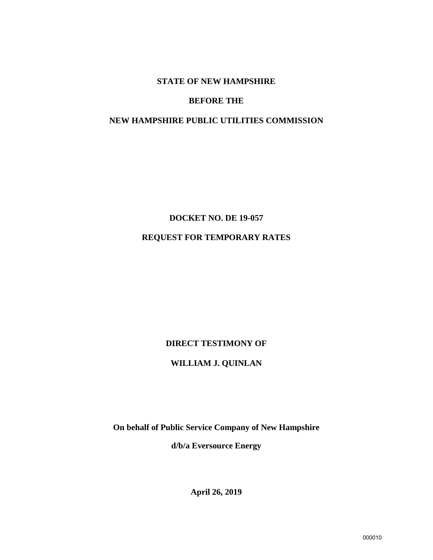#### **STATE OF NEW HAMPSHIRE**

#### **BEFORE THE**

## **NEW HAMPSHIRE PUBLIC UTILITIES COMMISSION**

# **DOCKET NO. DE 19-057 REQUEST FOR TEMPORARY RATES**

#### **DIRECT TESTIMONY OF**

## **WILLIAM J. QUINLAN**

**On behalf of Public Service Company of New Hampshire** 

**d/b/a Eversource Energy**

**April 26, 2019**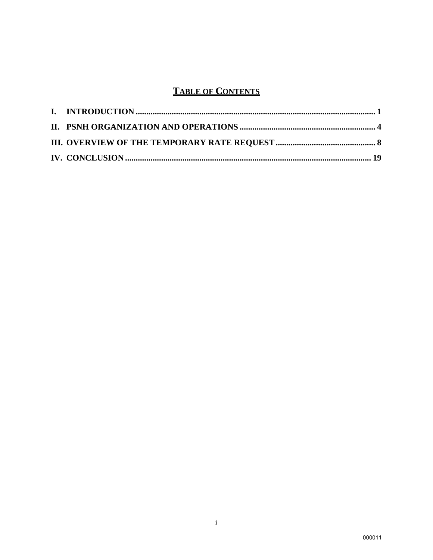## **TABLE OF CONTENTS**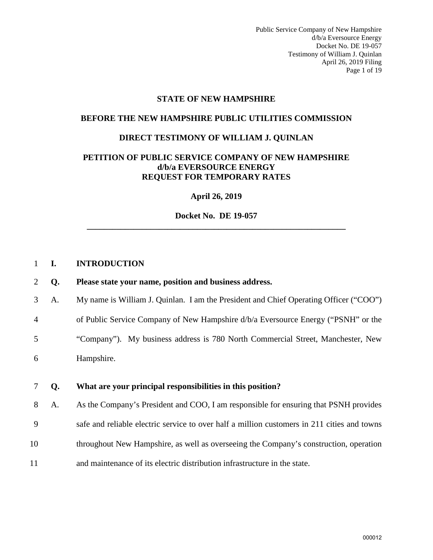Public Service Company of New Hampshire d/b/a Eversource Energy Docket No. DE 19-057 Testimony of William J. Quinlan April 26, 2019 Filing Page 1 of 19

#### **STATE OF NEW HAMPSHIRE**

#### **BEFORE THE NEW HAMPSHIRE PUBLIC UTILITIES COMMISSION**

#### **DIRECT TESTIMONY OF WILLIAM J. QUINLAN**

#### **PETITION OF PUBLIC SERVICE COMPANY OF NEW HAMPSHIRE d/b/a EVERSOURCE ENERGY REQUEST FOR TEMPORARY RATES**

**April 26, 2019** 

**Docket No. DE 19-057 \_\_\_\_\_\_\_\_\_\_\_\_\_\_\_\_\_\_\_\_\_\_\_\_\_\_\_\_\_\_\_\_\_\_\_\_\_\_\_\_\_\_\_\_\_\_\_\_\_\_\_\_\_\_\_\_\_\_\_\_\_** 

#### <span id="page-2-0"></span>1 **I. INTRODUCTION**

#### 2 **Q. Please state your name, position and business address.**

3 A. My name is William J. Quinlan. I am the President and Chief Operating Officer ("COO")

4 of Public Service Company of New Hampshire d/b/a Eversource Energy ("PSNH" or the

5 "Company"). My business address is 780 North Commercial Street, Manchester, New

6 Hampshire.

## 7 **Q. What are your principal responsibilities in this position?**

8 A. As the Company's President and COO, I am responsible for ensuring that PSNH provides

- 9 safe and reliable electric service to over half a million customers in 211 cities and towns
- 10 throughout New Hampshire, as well as overseeing the Company's construction, operation
- 11 and maintenance of its electric distribution infrastructure in the state.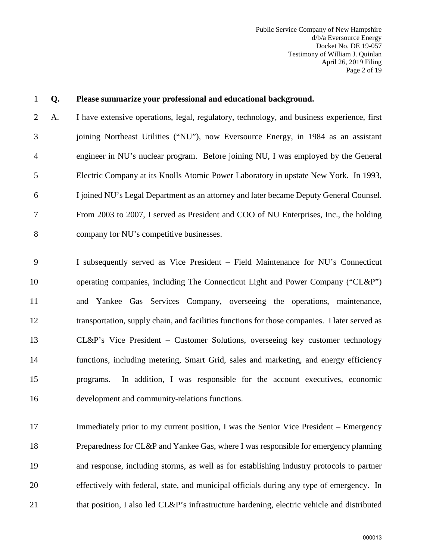| $\mathbf{1}$   | Q. | Please summarize your professional and educational background.                                |
|----------------|----|-----------------------------------------------------------------------------------------------|
| $\overline{2}$ | A. | I have extensive operations, legal, regulatory, technology, and business experience, first    |
| 3              |    | joining Northeast Utilities ("NU"), now Eversource Energy, in 1984 as an assistant            |
| $\overline{4}$ |    | engineer in NU's nuclear program. Before joining NU, I was employed by the General            |
| 5              |    | Electric Company at its Knolls Atomic Power Laboratory in upstate New York. In 1993,          |
| 6              |    | I joined NU's Legal Department as an attorney and later became Deputy General Counsel.        |
| $\overline{7}$ |    | From 2003 to 2007, I served as President and COO of NU Enterprises, Inc., the holding         |
| 8              |    | company for NU's competitive businesses.                                                      |
| 9              |    | I subsequently served as Vice President - Field Maintenance for NU's Connecticut              |
| 10             |    | operating companies, including The Connecticut Light and Power Company ("CL&P")               |
| 11             |    | and Yankee Gas Services Company, overseeing the operations, maintenance,                      |
| 12             |    | transportation, supply chain, and facilities functions for those companies. I later served as |
| 13             |    | CL&P's Vice President – Customer Solutions, overseeing key customer technology                |
| 14             |    | functions, including metering, Smart Grid, sales and marketing, and energy efficiency         |
| 15             |    | In addition, I was responsible for the account executives, economic<br>programs.              |
| 16             |    | development and community-relations functions.                                                |
|                |    |                                                                                               |

17 Immediately prior to my current position, I was the Senior Vice President – Emergency 18 Preparedness for CL&P and Yankee Gas, where I was responsible for emergency planning 19 and response, including storms, as well as for establishing industry protocols to partner 20 effectively with federal, state, and municipal officials during any type of emergency. In 21 that position, I also led CL&P's infrastructure hardening, electric vehicle and distributed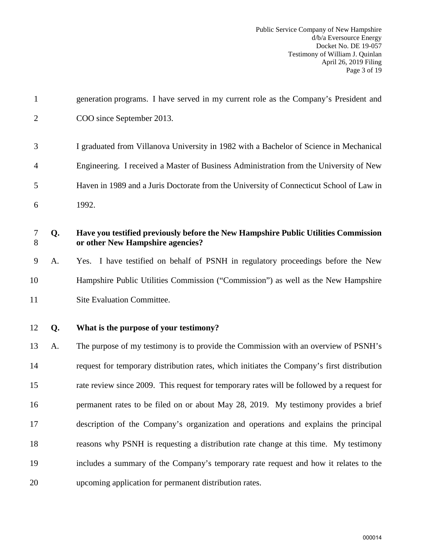| $\mathbf{1}$   |    | generation programs. I have served in my current role as the Company's President and                                   |
|----------------|----|------------------------------------------------------------------------------------------------------------------------|
| $\overline{2}$ |    | COO since September 2013.                                                                                              |
| 3              |    | I graduated from Villanova University in 1982 with a Bachelor of Science in Mechanical                                 |
| 4              |    | Engineering. I received a Master of Business Administration from the University of New                                 |
| 5              |    | Haven in 1989 and a Juris Doctorate from the University of Connecticut School of Law in                                |
| 6              |    | 1992.                                                                                                                  |
| 7<br>8         | Q. | Have you testified previously before the New Hampshire Public Utilities Commission<br>or other New Hampshire agencies? |
| 9              | A. | Yes. I have testified on behalf of PSNH in regulatory proceedings before the New                                       |
| 10             |    | Hampshire Public Utilities Commission ("Commission") as well as the New Hampshire                                      |
| 11             |    | Site Evaluation Committee.                                                                                             |
| 12             | Q. | What is the purpose of your testimony?                                                                                 |
| 13             | A. | The purpose of my testimony is to provide the Commission with an overview of PSNH's                                    |
| 14             |    | request for temporary distribution rates, which initiates the Company's first distribution                             |
| 15             |    | rate review since 2009. This request for temporary rates will be followed by a request for                             |
| 16             |    | permanent rates to be filed on or about May 28, 2019. My testimony provides a brief                                    |
| 17             |    | description of the Company's organization and operations and explains the principal                                    |
| 18             |    | reasons why PSNH is requesting a distribution rate change at this time. My testimony                                   |
| 19             |    | includes a summary of the Company's temporary rate request and how it relates to the                                   |
| 20             |    | upcoming application for permanent distribution rates.                                                                 |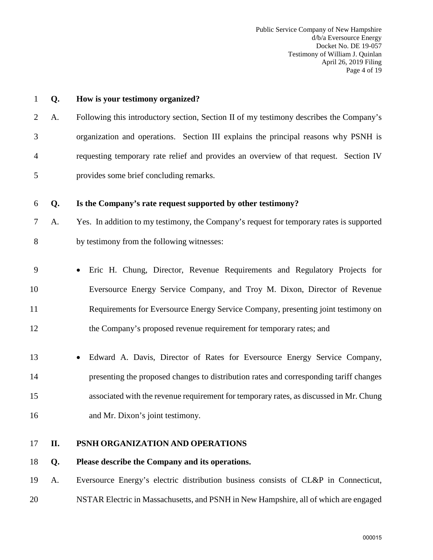| $\mathbf{1}$ | Q.  | How is your testimony organized?                                                         |
|--------------|-----|------------------------------------------------------------------------------------------|
| 2            | A.  | Following this introductory section, Section II of my testimony describes the Company's  |
| 3            |     | organization and operations. Section III explains the principal reasons why PSNH is      |
| 4            |     | requesting temporary rate relief and provides an overview of that request. Section IV    |
| 5            |     | provides some brief concluding remarks.                                                  |
| 6            | Q.  | Is the Company's rate request supported by other testimony?                              |
| 7            | A.  | Yes. In addition to my testimony, the Company's request for temporary rates is supported |
| 8            |     | by testimony from the following witnesses:                                               |
| 9            |     | Eric H. Chung, Director, Revenue Requirements and Regulatory Projects for                |
| 10           |     | Eversource Energy Service Company, and Troy M. Dixon, Director of Revenue                |
| 11           |     | Requirements for Eversource Energy Service Company, presenting joint testimony on        |
| 12           |     | the Company's proposed revenue requirement for temporary rates; and                      |
| 13           |     | Edward A. Davis, Director of Rates for Eversource Energy Service Company,                |
| 14           |     | presenting the proposed changes to distribution rates and corresponding tariff changes   |
| 15           |     | associated with the revenue requirement for temporary rates, as discussed in Mr. Chung   |
| 16           |     | and Mr. Dixon's joint testimony.                                                         |
| 17           | II. | PSNH ORGANIZATION AND OPERATIONS                                                         |
| 18           | Q.  | Please describe the Company and its operations.                                          |
| 19           | A.  | Eversource Energy's electric distribution business consists of CL&P in Connecticut,      |

<span id="page-5-0"></span>20 NSTAR Electric in Massachusetts, and PSNH in New Hampshire, all of which are engaged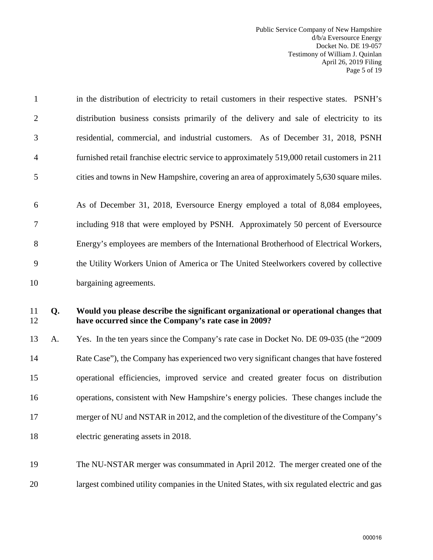| $\mathbf{1}$   |    | in the distribution of electricity to retail customers in their respective states. PSNH's                                                    |
|----------------|----|----------------------------------------------------------------------------------------------------------------------------------------------|
| $\overline{2}$ |    | distribution business consists primarily of the delivery and sale of electricity to its                                                      |
| 3              |    | residential, commercial, and industrial customers. As of December 31, 2018, PSNH                                                             |
| $\overline{4}$ |    | furnished retail franchise electric service to approximately 519,000 retail customers in 211                                                 |
| 5              |    | cities and towns in New Hampshire, covering an area of approximately 5,630 square miles.                                                     |
| 6              |    | As of December 31, 2018, Eversource Energy employed a total of 8,084 employees,                                                              |
| $\tau$         |    | including 918 that were employed by PSNH. Approximately 50 percent of Eversource                                                             |
| 8              |    | Energy's employees are members of the International Brotherhood of Electrical Workers,                                                       |
| 9              |    | the Utility Workers Union of America or The United Steelworkers covered by collective                                                        |
| 10             |    | bargaining agreements.                                                                                                                       |
|                |    |                                                                                                                                              |
| 11<br>12       | Q. | Would you please describe the significant organizational or operational changes that<br>have occurred since the Company's rate case in 2009? |
| 13             | A. | Yes. In the ten years since the Company's rate case in Docket No. DE 09-035 (the "2009"                                                      |
| 14             |    | Rate Case"), the Company has experienced two very significant changes that have fostered                                                     |
| 15             |    | operational efficiencies, improved service and created greater focus on distribution                                                         |
| 16             |    | operations, consistent with New Hampshire's energy policies. These changes include the                                                       |
| 17             |    | merger of NU and NSTAR in 2012, and the completion of the divestiture of the Company's                                                       |
| 18             |    | electric generating assets in 2018.                                                                                                          |
| 19             |    | The NU-NSTAR merger was consummated in April 2012. The merger created one of the                                                             |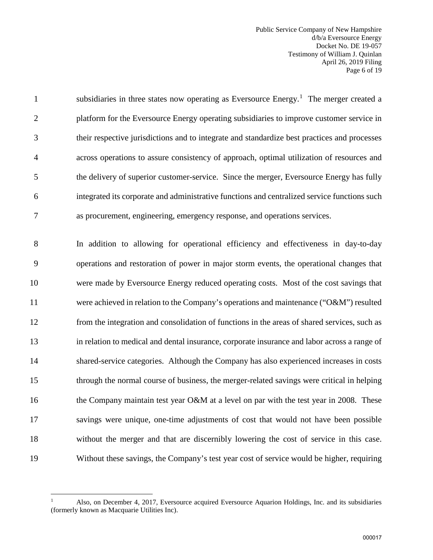Public Service Company of New Hampshire d/b/a Eversource Energy Docket No. DE 19-057 Testimony of William J. Quinlan April 26, 2019 Filing Page 6 of 19

subsidiaries in three states now operating as Eversource Energy.<sup>[1](#page-7-0)</sup> The merger created a 2 platform for the Eversource Energy operating subsidiaries to improve customer service in 3 their respective jurisdictions and to integrate and standardize best practices and processes 4 across operations to assure consistency of approach, optimal utilization of resources and 5 the delivery of superior customer-service. Since the merger, Eversource Energy has fully 6 integrated its corporate and administrative functions and centralized service functions such 7 as procurement, engineering, emergency response, and operations services.

8 In addition to allowing for operational efficiency and effectiveness in day-to-day 9 operations and restoration of power in major storm events, the operational changes that 10 were made by Eversource Energy reduced operating costs. Most of the cost savings that 11 were achieved in relation to the Company's operations and maintenance ("O&M") resulted 12 from the integration and consolidation of functions in the areas of shared services, such as 13 in relation to medical and dental insurance, corporate insurance and labor across a range of 14 shared-service categories. Although the Company has also experienced increases in costs 15 through the normal course of business, the merger-related savings were critical in helping 16 the Company maintain test year O&M at a level on par with the test year in 2008. These 17 savings were unique, one-time adjustments of cost that would not have been possible 18 without the merger and that are discernibly lowering the cost of service in this case. 19 Without these savings, the Company's test year cost of service would be higher, requiring

 $\overline{a}$ 

<span id="page-7-0"></span><sup>1</sup> Also, on December 4, 2017, Eversource acquired Eversource Aquarion Holdings, Inc. and its subsidiaries (formerly known as Macquarie Utilities Inc).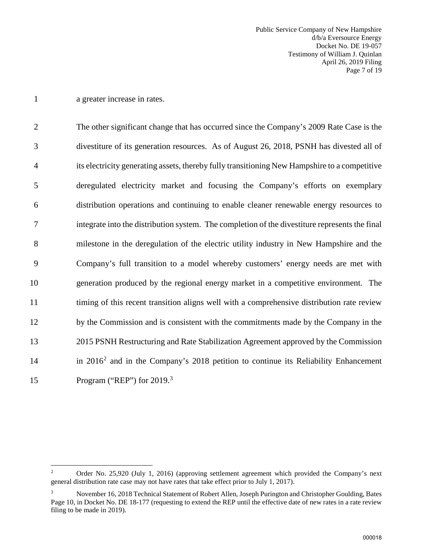1 a greater increase in rates.

2 The other significant change that has occurred since the Company's 2009 Rate Case is the 3 divestiture of its generation resources. As of August 26, 2018, PSNH has divested all of 4 its electricity generating assets, thereby fully transitioning New Hampshire to a competitive 5 deregulated electricity market and focusing the Company's efforts on exemplary 6 distribution operations and continuing to enable cleaner renewable energy resources to 7 integrate into the distribution system. The completion of the divestiture represents the final 8 milestone in the deregulation of the electric utility industry in New Hampshire and the 9 Company's full transition to a model whereby customers' energy needs are met with 10 generation produced by the regional energy market in a competitive environment. The 11 timing of this recent transition aligns well with a comprehensive distribution rate review 12 by the Commission and is consistent with the commitments made by the Company in the 13 2015 PSNH Restructuring and Rate Stabilization Agreement approved by the Commission 14 in [2](#page-8-0)016<sup>2</sup> and in the Company's 2018 petition to continue its Reliability Enhancement 15 Program ("REP") for  $2019<sup>3</sup>$  $2019<sup>3</sup>$  $2019<sup>3</sup>$ 

<span id="page-8-0"></span> $\frac{1}{2}$  Order No. 25,920 (July 1, 2016) (approving settlement agreement which provided the Company's next general distribution rate case may not have rates that take effect prior to July 1, 2017).

<span id="page-8-1"></span><sup>3</sup> November 16, 2018 Technical Statement of Robert Allen, Joseph Purington and Christopher Goulding, Bates Page 10, in Docket No. DE 18-177 (requesting to extend the REP until the effective date of new rates in a rate review filing to be made in 2019).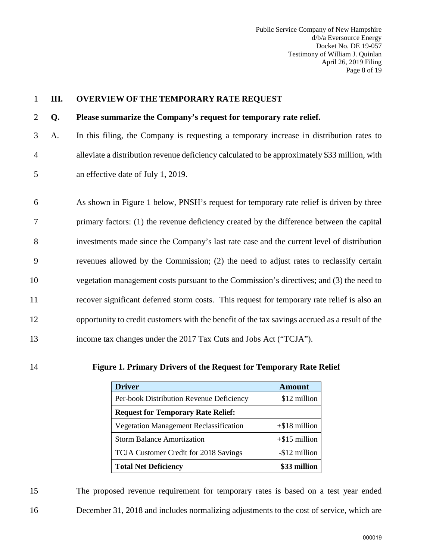<span id="page-9-0"></span>

| 1              | Ш. | <b>OVERVIEW OF THE TEMPORARY RATE REQUEST</b>                                                  |
|----------------|----|------------------------------------------------------------------------------------------------|
| 2              | Q. | Please summarize the Company's request for temporary rate relief.                              |
| 3              | A. | In this filing, the Company is requesting a temporary increase in distribution rates to        |
| $\overline{4}$ |    | alleviate a distribution revenue deficiency calculated to be approximately \$33 million, with  |
| 5              |    | an effective date of July 1, 2019.                                                             |
|                |    |                                                                                                |
| 6              |    | As shown in Figure 1 below, PNSH's request for temporary rate relief is driven by three        |
| $\overline{7}$ |    | primary factors: (1) the revenue deficiency created by the difference between the capital      |
| 8              |    | investments made since the Company's last rate case and the current level of distribution      |
| 9              |    | revenues allowed by the Commission; (2) the need to adjust rates to reclassify certain         |
| 10             |    | vegetation management costs pursuant to the Commission's directives; and (3) the need to       |
| 11             |    | recover significant deferred storm costs. This request for temporary rate relief is also an    |
| 12             |    | opportunity to credit customers with the benefit of the tax savings accrued as a result of the |
| 13             |    | income tax changes under the 2017 Tax Cuts and Jobs Act ("TCJA").                              |
|                |    |                                                                                                |

14 **Figure 1. Primary Drivers of the Request for Temporary Rate Relief**

| <b>Driver</b>                                 | <b>Amount</b>    |
|-----------------------------------------------|------------------|
| Per-book Distribution Revenue Deficiency      | \$12 million     |
| <b>Request for Temporary Rate Relief:</b>     |                  |
| <b>Vegetation Management Reclassification</b> | $+$ \$18 million |
| <b>Storm Balance Amortization</b>             | $+$ \$15 million |
| TCJA Customer Credit for 2018 Savings         | -\$12 million    |
| <b>Total Net Deficiency</b>                   | \$33 million     |

15 The proposed revenue requirement for temporary rates is based on a test year ended 16 December 31, 2018 and includes normalizing adjustments to the cost of service, which are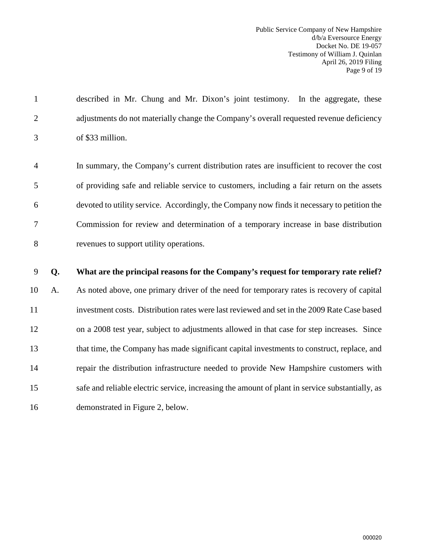1 described in Mr. Chung and Mr. Dixon's joint testimony. In the aggregate, these 2 adjustments do not materially change the Company's overall requested revenue deficiency 3 of \$33 million.

4 In summary, the Company's current distribution rates are insufficient to recover the cost 5 of providing safe and reliable service to customers, including a fair return on the assets 6 devoted to utility service. Accordingly, the Company now finds it necessary to petition the 7 Commission for review and determination of a temporary increase in base distribution 8 revenues to support utility operations.

#### 9 **Q. What are the principal reasons for the Company's request for temporary rate relief?**

10 A. As noted above, one primary driver of the need for temporary rates is recovery of capital 11 investment costs. Distribution rates were last reviewed and set in the 2009 Rate Case based 12 on a 2008 test year, subject to adjustments allowed in that case for step increases. Since 13 that time, the Company has made significant capital investments to construct, replace, and 14 repair the distribution infrastructure needed to provide New Hampshire customers with 15 safe and reliable electric service, increasing the amount of plant in service substantially, as 16 demonstrated in Figure 2, below.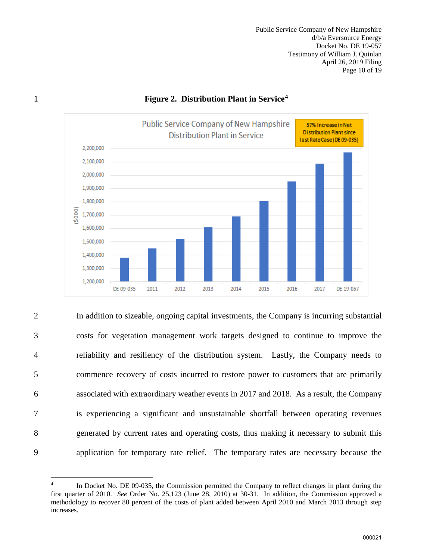Public Service Company of New Hampshire d/b/a Eversource Energy Docket No. DE 19-057 Testimony of William J. Quinlan April 26, 2019 Filing Page 10 of 19



#### **Figure 2. Distribution Plant in Service[4](#page-11-0)** 1

2 In addition to sizeable, ongoing capital investments, the Company is incurring substantial 3 costs for vegetation management work targets designed to continue to improve the 4 reliability and resiliency of the distribution system. Lastly, the Company needs to 5 commence recovery of costs incurred to restore power to customers that are primarily 6 associated with extraordinary weather events in 2017 and 2018. As a result, the Company 7 is experiencing a significant and unsustainable shortfall between operating revenues 8 generated by current rates and operating costs, thus making it necessary to submit this 9 application for temporary rate relief. The temporary rates are necessary because the

<span id="page-11-0"></span> $\overline{a}$ 4 In Docket No. DE 09-035, the Commission permitted the Company to reflect changes in plant during the first quarter of 2010. *See* Order No. 25,123 (June 28, 2010) at 30-31. In addition, the Commission approved a methodology to recover 80 percent of the costs of plant added between April 2010 and March 2013 through step increases.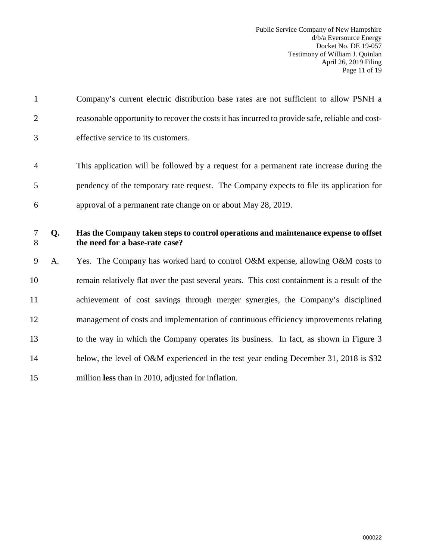| $\mathbf{1}$   |    | Company's current electric distribution base rates are not sufficient to allow PSNH a                                 |
|----------------|----|-----------------------------------------------------------------------------------------------------------------------|
| $\overline{2}$ |    | reasonable opportunity to recover the costs it has incurred to provide safe, reliable and cost-                       |
| 3              |    | effective service to its customers.                                                                                   |
| $\overline{4}$ |    | This application will be followed by a request for a permanent rate increase during the                               |
| 5              |    | pendency of the temporary rate request. The Company expects to file its application for                               |
| 6              |    | approval of a permanent rate change on or about May 28, 2019.                                                         |
| 7<br>8         | Q. | Has the Company taken steps to control operations and maintenance expense to offset<br>the need for a base-rate case? |
| 9              | A. | Yes. The Company has worked hard to control O&M expense, allowing O&M costs to                                        |
| 10             |    | remain relatively flat over the past several years. This cost containment is a result of the                          |
| 11             |    | achievement of cost savings through merger synergies, the Company's disciplined                                       |
| 12             |    | management of costs and implementation of continuous efficiency improvements relating                                 |
| 13             |    | to the way in which the Company operates its business. In fact, as shown in Figure 3                                  |
| 14             |    | below, the level of O&M experienced in the test year ending December 31, 2018 is \$32                                 |
| 15             |    | million less than in 2010, adjusted for inflation.                                                                    |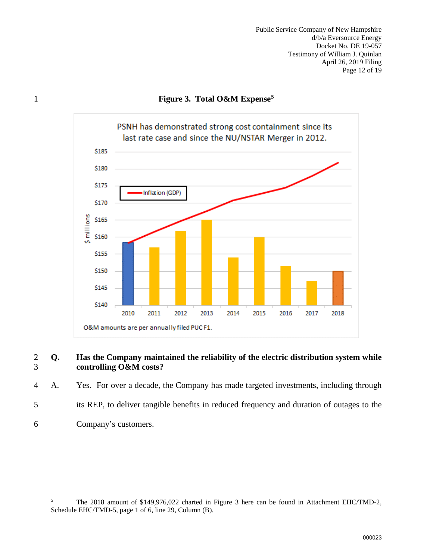Public Service Company of New Hampshire d/b/a Eversource Energy Docket No. DE 19-057 Testimony of William J. Quinlan April 26, 2019 Filing Page 12 of 19

## **Figure 3. Total O&M Expense[5](#page-13-0)** 1



#### 2 **Q. Has the Company maintained the reliability of the electric distribution system while**  3 **controlling O&M costs?**

4 A. Yes. For over a decade, the Company has made targeted investments, including through

- 5 its REP, to deliver tangible benefits in reduced frequency and duration of outages to the
- 6 Company's customers.

<span id="page-13-0"></span> $\frac{1}{5}$  The 2018 amount of \$149,976,022 charted in Figure 3 here can be found in Attachment EHC/TMD-2, Schedule EHC/TMD-5, page 1 of 6, line 29, Column (B).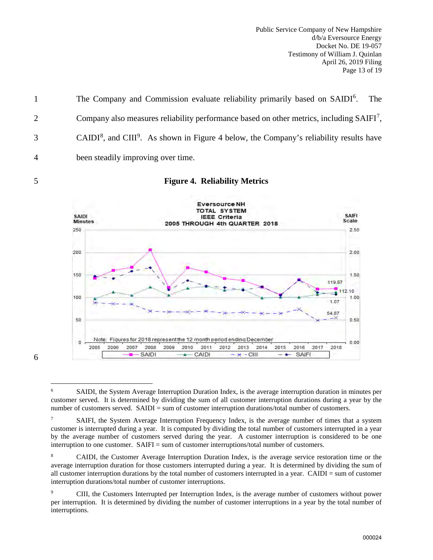Public Service Company of New Hampshire d/b/a Eversource Energy Docket No. DE 19-057 Testimony of William J. Quinlan April 26, 2019 Filing Page 13 of 19

The Company and Commission evaluate reliability primarily based on SAIDI<sup>6</sup>. The  $\Omega$  Company also measures reliability performance based on other metrics, including SAIFI<sup>[7](#page-14-1)</sup>, CAIDI<sup>[8](#page-14-2)</sup>, and CIII<sup>[9](#page-14-3)</sup>. As shown in Figure 4 below, the Company's reliability results have 4 been steadily improving over time.

#### 5 **Figure 4. Reliability Metrics**



<span id="page-14-0"></span>6

 $\overline{a}$ 6 SAIDI, the System Average Interruption Duration Index, is the average interruption duration in minutes per customer served. It is determined by dividing the sum of all customer interruption durations during a year by the number of customers served. SAIDI = sum of customer interruption durations/total number of customers.

<span id="page-14-1"></span><sup>7</sup> SAIFI, the System Average Interruption Frequency Index, is the average number of times that a system customer is interrupted during a year. It is computed by dividing the total number of customers interrupted in a year by the average number of customers served during the year. A customer interruption is considered to be one interruption to one customer. SAIFI = sum of customer interruptions/total number of customers.

<span id="page-14-2"></span><sup>8</sup> CAIDI, the Customer Average Interruption Duration Index, is the average service restoration time or the average interruption duration for those customers interrupted during a year. It is determined by dividing the sum of all customer interruption durations by the total number of customers interrupted in a year. CAIDI = sum of customer interruption durations/total number of customer interruptions.

<span id="page-14-3"></span><sup>9</sup> CIII, the Customers Interrupted per Interruption Index, is the average number of customers without power per interruption. It is determined by dividing the number of customer interruptions in a year by the total number of interruptions.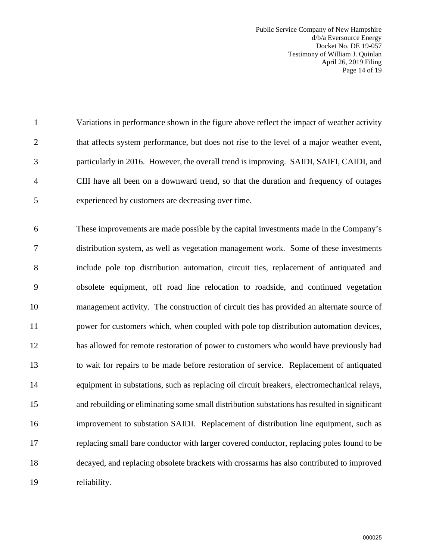Public Service Company of New Hampshire d/b/a Eversource Energy Docket No. DE 19-057 Testimony of William J. Quinlan April 26, 2019 Filing Page 14 of 19

1 Variations in performance shown in the figure above reflect the impact of weather activity 2 that affects system performance, but does not rise to the level of a major weather event, 3 particularly in 2016. However, the overall trend is improving. SAIDI, SAIFI, CAIDI, and 4 CIII have all been on a downward trend, so that the duration and frequency of outages 5 experienced by customers are decreasing over time.

6 These improvements are made possible by the capital investments made in the Company's 7 distribution system, as well as vegetation management work. Some of these investments 8 include pole top distribution automation, circuit ties, replacement of antiquated and 9 obsolete equipment, off road line relocation to roadside, and continued vegetation 10 management activity. The construction of circuit ties has provided an alternate source of 11 power for customers which, when coupled with pole top distribution automation devices, 12 has allowed for remote restoration of power to customers who would have previously had 13 to wait for repairs to be made before restoration of service. Replacement of antiquated 14 equipment in substations, such as replacing oil circuit breakers, electromechanical relays, 15 and rebuilding or eliminating some small distribution substations has resulted in significant 16 improvement to substation SAIDI. Replacement of distribution line equipment, such as 17 replacing small bare conductor with larger covered conductor, replacing poles found to be 18 decayed, and replacing obsolete brackets with crossarms has also contributed to improved 19 reliability.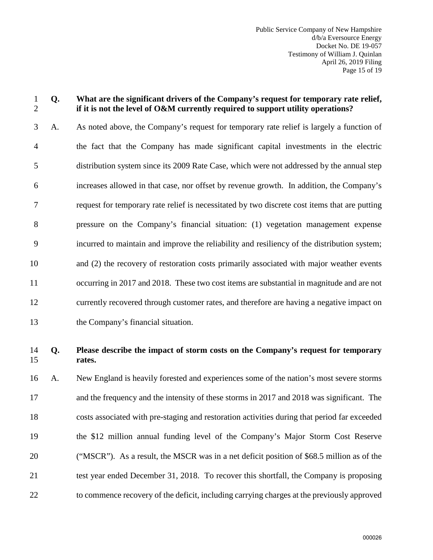#### 1 **Q. What are the significant drivers of the Company's request for temporary rate relief,**  2 **if it is not the level of O&M currently required to support utility operations?**

3 A. As noted above, the Company's request for temporary rate relief is largely a function of 4 the fact that the Company has made significant capital investments in the electric 5 distribution system since its 2009 Rate Case, which were not addressed by the annual step 6 increases allowed in that case, nor offset by revenue growth. In addition, the Company's 7 request for temporary rate relief is necessitated by two discrete cost items that are putting 8 pressure on the Company's financial situation: (1) vegetation management expense 9 incurred to maintain and improve the reliability and resiliency of the distribution system; 10 and (2) the recovery of restoration costs primarily associated with major weather events 11 occurring in 2017 and 2018. These two cost items are substantial in magnitude and are not 12 currently recovered through customer rates, and therefore are having a negative impact on 13 the Company's financial situation.

## 14 **Q. Please describe the impact of storm costs on the Company's request for temporary**  15 **rates.**

16 A. New England is heavily forested and experiences some of the nation's most severe storms 17 and the frequency and the intensity of these storms in 2017 and 2018 was significant. The 18 costs associated with pre-staging and restoration activities during that period far exceeded 19 the \$12 million annual funding level of the Company's Major Storm Cost Reserve 20 ("MSCR"). As a result, the MSCR was in a net deficit position of \$68.5 million as of the 21 test year ended December 31, 2018. To recover this shortfall, the Company is proposing 22 to commence recovery of the deficit, including carrying charges at the previously approved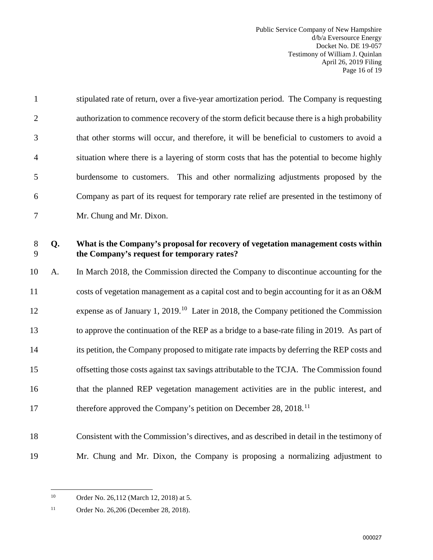| $\mathbf{1}$   |    | stipulated rate of return, over a five-year amortization period. The Company is requesting                                      |
|----------------|----|---------------------------------------------------------------------------------------------------------------------------------|
| $\overline{2}$ |    | authorization to commence recovery of the storm deficit because there is a high probability                                     |
| 3              |    | that other storms will occur, and therefore, it will be beneficial to customers to avoid a                                      |
| $\overline{4}$ |    | situation where there is a layering of storm costs that has the potential to become highly                                      |
| 5              |    | burdensome to customers. This and other normalizing adjustments proposed by the                                                 |
| 6              |    | Company as part of its request for temporary rate relief are presented in the testimony of                                      |
| $\tau$         |    | Mr. Chung and Mr. Dixon.                                                                                                        |
| $8\,$<br>9     | Q. | What is the Company's proposal for recovery of vegetation management costs within<br>the Company's request for temporary rates? |
| 10             | A. | In March 2018, the Commission directed the Company to discontinue accounting for the                                            |
| 11             |    | costs of vegetation management as a capital cost and to begin accounting for it as an O&M                                       |
| 12             |    | expense as of January 1, 2019. <sup>10</sup> Later in 2018, the Company petitioned the Commission                               |
| 13             |    | to approve the continuation of the REP as a bridge to a base-rate filing in 2019. As part of                                    |
| 14             |    | its petition, the Company proposed to mitigate rate impacts by deferring the REP costs and                                      |
| 15             |    | offsetting those costs against tax savings attributable to the TCJA. The Commission found                                       |
| 16             |    | that the planned REP vegetation management activities are in the public interest, and                                           |
| 17             |    | therefore approved the Company's petition on December 28, 2018. <sup>11</sup>                                                   |
| 18             |    | Consistent with the Commission's directives, and as described in detail in the testimony of                                     |
| 19             |    | Mr. Chung and Mr. Dixon, the Company is proposing a normalizing adjustment to                                                   |

<span id="page-17-0"></span> $10\,$ 

Order No. 26,112 (March 12, 2018) at 5.

<span id="page-17-1"></span><sup>11</sup> Order No. 26,206 (December 28, 2018).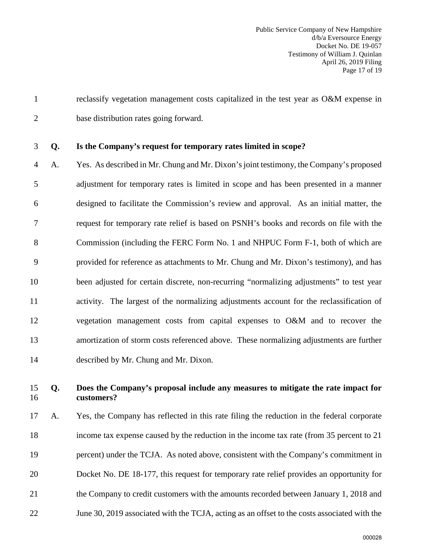1 reclassify vegetation management costs capitalized in the test year as O&M expense in 2 base distribution rates going forward.

#### 3 **Q. Is the Company's request for temporary rates limited in scope?**

4 A. Yes. As described in Mr. Chung and Mr. Dixon's joint testimony, the Company's proposed 5 adjustment for temporary rates is limited in scope and has been presented in a manner 6 designed to facilitate the Commission's review and approval. As an initial matter, the 7 request for temporary rate relief is based on PSNH's books and records on file with the 8 Commission (including the FERC Form No. 1 and NHPUC Form F-1, both of which are 9 provided for reference as attachments to Mr. Chung and Mr. Dixon's testimony), and has 10 been adjusted for certain discrete, non-recurring "normalizing adjustments" to test year 11 activity. The largest of the normalizing adjustments account for the reclassification of 12 vegetation management costs from capital expenses to O&M and to recover the 13 amortization of storm costs referenced above. These normalizing adjustments are further 14 described by Mr. Chung and Mr. Dixon.

## 15 **Q. Does the Company's proposal include any measures to mitigate the rate impact for**  16 **customers?**

17 A. Yes, the Company has reflected in this rate filing the reduction in the federal corporate 18 income tax expense caused by the reduction in the income tax rate (from 35 percent to 21 19 percent) under the TCJA. As noted above, consistent with the Company's commitment in 20 Docket No. DE 18-177, this request for temporary rate relief provides an opportunity for 21 the Company to credit customers with the amounts recorded between January 1, 2018 and 22 June 30, 2019 associated with the TCJA, acting as an offset to the costs associated with the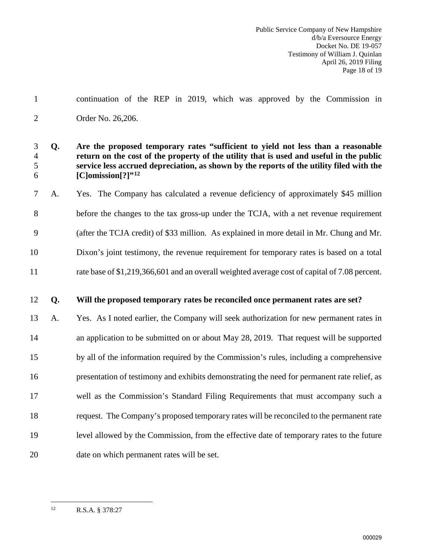1 continuation of the REP in 2019, which was approved by the Commission in 2 Order No. 26,206.

## 3 **Q. Are the proposed temporary rates "sufficient to yield not less than a reasonable**  4 **return on the cost of the property of the utility that is used and useful in the public**  5 **service less accrued depreciation, as shown by the reports of the utility filed with the [C]omission[?]"[12](#page-19-0)** 6

7 A. Yes. The Company has calculated a revenue deficiency of approximately \$45 million 8 before the changes to the tax gross-up under the TCJA, with a net revenue requirement 9 (after the TCJA credit) of \$33 million. As explained in more detail in Mr. Chung and Mr. 10 Dixon's joint testimony, the revenue requirement for temporary rates is based on a total 11 rate base of \$1,219,366,601 and an overall weighted average cost of capital of 7.08 percent.

## 12 **Q. Will the proposed temporary rates be reconciled once permanent rates are set?**

13 A. Yes. As I noted earlier, the Company will seek authorization for new permanent rates in 14 an application to be submitted on or about May 28, 2019. That request will be supported 15 by all of the information required by the Commission's rules, including a comprehensive 16 presentation of testimony and exhibits demonstrating the need for permanent rate relief, as 17 well as the Commission's Standard Filing Requirements that must accompany such a 18 request. The Company's proposed temporary rates will be reconciled to the permanent rate 19 level allowed by the Commission, from the effective date of temporary rates to the future 20 date on which permanent rates will be set.

<span id="page-19-0"></span> $12$ 12 R.S.A. § 378:27